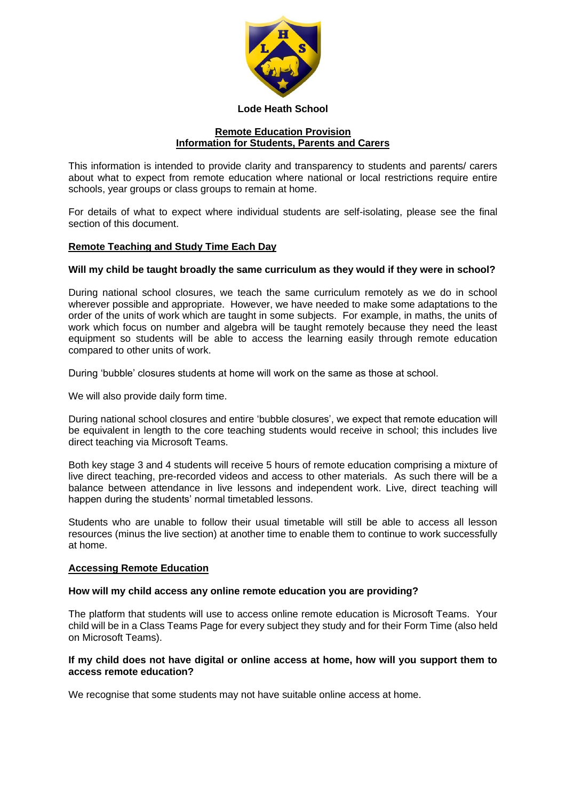

## **Lode Heath School**

#### **Remote Education Provision Information for Students, Parents and Carers**

This information is intended to provide clarity and transparency to students and parents/ carers about what to expect from remote education where national or local restrictions require entire schools, year groups or class groups to remain at home.

For details of what to expect where individual students are self-isolating, please see the final section of this document.

# **Remote Teaching and Study Time Each Day**

## **Will my child be taught broadly the same curriculum as they would if they were in school?**

During national school closures, we teach the same curriculum remotely as we do in school wherever possible and appropriate. However, we have needed to make some adaptations to the order of the units of work which are taught in some subjects. For example, in maths, the units of work which focus on number and algebra will be taught remotely because they need the least equipment so students will be able to access the learning easily through remote education compared to other units of work.

During 'bubble' closures students at home will work on the same as those at school.

We will also provide daily form time.

During national school closures and entire 'bubble closures', we expect that remote education will be equivalent in length to the core teaching students would receive in school; this includes live direct teaching via Microsoft Teams.

Both key stage 3 and 4 students will receive 5 hours of remote education comprising a mixture of live direct teaching, pre-recorded videos and access to other materials. As such there will be a balance between attendance in live lessons and independent work. Live, direct teaching will happen during the students' normal timetabled lessons.

Students who are unable to follow their usual timetable will still be able to access all lesson resources (minus the live section) at another time to enable them to continue to work successfully at home.

## **Accessing Remote Education**

## **How will my child access any online remote education you are providing?**

The platform that students will use to access online remote education is Microsoft Teams. Your child will be in a Class Teams Page for every subject they study and for their Form Time (also held on Microsoft Teams).

## **If my child does not have digital or online access at home, how will you support them to access remote education?**

We recognise that some students may not have suitable online access at home.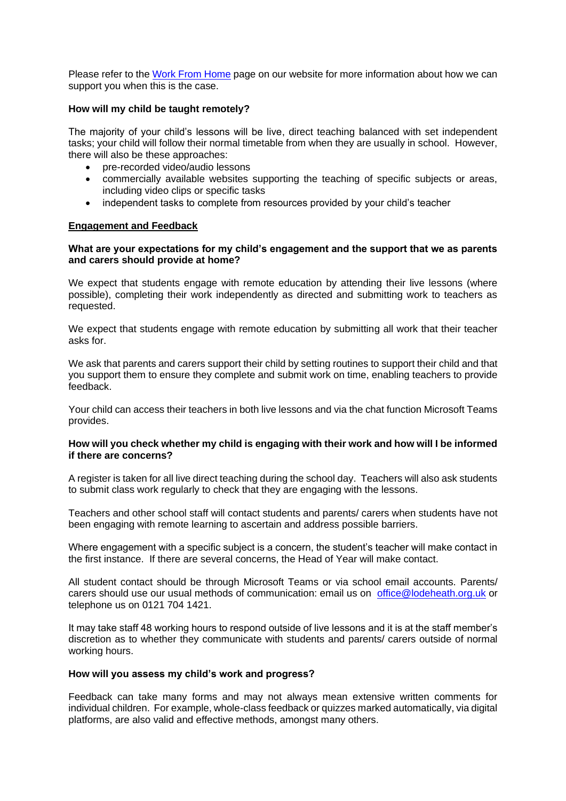Please refer to the [Work From Home](https://www.lodeheathschool.co.uk/work-from-home) page on our website for more information about how we can support you when this is the case.

#### **How will my child be taught remotely?**

The majority of your child's lessons will be live, direct teaching balanced with set independent tasks; your child will follow their normal timetable from when they are usually in school. However, there will also be these approaches:

- pre-recorded video/audio lessons
- commercially available websites supporting the teaching of specific subjects or areas, including video clips or specific tasks
- independent tasks to complete from resources provided by your child's teacher

#### **Engagement and Feedback**

#### **What are your expectations for my child's engagement and the support that we as parents and carers should provide at home?**

We expect that students engage with remote education by attending their live lessons (where possible), completing their work independently as directed and submitting work to teachers as requested.

We expect that students engage with remote education by submitting all work that their teacher asks for.

We ask that parents and carers support their child by setting routines to support their child and that you support them to ensure they complete and submit work on time, enabling teachers to provide feedback.

Your child can access their teachers in both live lessons and via the chat function Microsoft Teams provides.

## **How will you check whether my child is engaging with their work and how will I be informed if there are concerns?**

A register is taken for all live direct teaching during the school day. Teachers will also ask students to submit class work regularly to check that they are engaging with the lessons.

Teachers and other school staff will contact students and parents/ carers when students have not been engaging with remote learning to ascertain and address possible barriers.

Where engagement with a specific subject is a concern, the student's teacher will make contact in the first instance. If there are several concerns, the Head of Year will make contact.

All student contact should be through Microsoft Teams or via school email accounts. Parents/ carers should use our usual methods of communication: email us on [office@lodeheath.org.uk](mailto:office@lodeheath.org.uk) or telephone us on 0121 704 1421.

It may take staff 48 working hours to respond outside of live lessons and it is at the staff member's discretion as to whether they communicate with students and parents/ carers outside of normal working hours.

#### **How will you assess my child's work and progress?**

Feedback can take many forms and may not always mean extensive written comments for individual children. For example, whole-class feedback or quizzes marked automatically, via digital platforms, are also valid and effective methods, amongst many others.